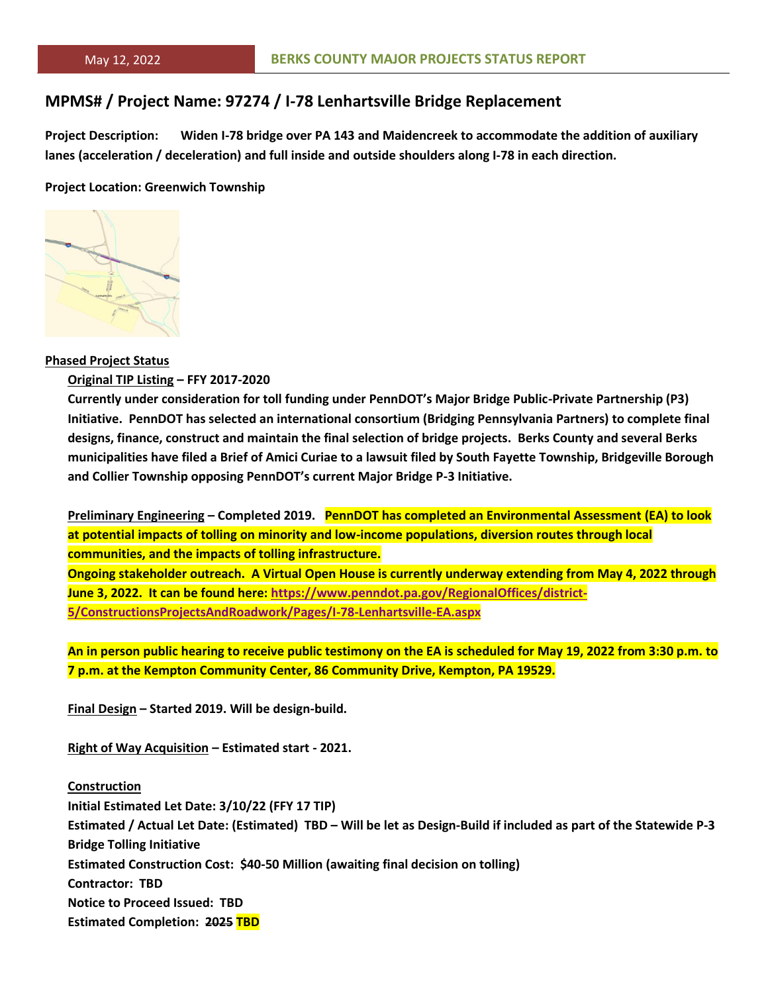# **MPMS# / Project Name: 97274 / I-78 Lenhartsville Bridge Replacement**

**Project Description: Widen I-78 bridge over PA 143 and Maidencreek to accommodate the addition of auxiliary lanes (acceleration / deceleration) and full inside and outside shoulders along I-78 in each direction.**

#### **Project Location: Greenwich Township**



#### **Phased Project Status**

#### **Original TIP Listing – FFY 2017-2020**

**Currently under consideration for toll funding under PennDOT's Major Bridge Public-Private Partnership (P3) Initiative. PennDOT has selected an international consortium (Bridging Pennsylvania Partners) to complete final designs, finance, construct and maintain the final selection of bridge projects. Berks County and several Berks municipalities have filed a Brief of Amici Curiae to a lawsuit filed by South Fayette Township, Bridgeville Borough and Collier Township opposing PennDOT's current Major Bridge P-3 Initiative.**

**Preliminary Engineering – Completed 2019. PennDOT has completed an Environmental Assessment (EA) to look at potential impacts of tolling on minority and low-income populations, diversion routes through local communities, and the impacts of tolling infrastructure.**

**Ongoing stakeholder outreach. A Virtual Open House is currently underway extending from May 4, 2022 through June 3, 2022. It can be found here: [https://www.penndot.pa.gov/RegionalOffices/district-](https://www.penndot.pa.gov/RegionalOffices/district-5/ConstructionsProjectsAndRoadwork/Pages/I-78-Lenhartsville-EA.aspx)[5/ConstructionsProjectsAndRoadwork/Pages/I-78-Lenhartsville-EA.aspx](https://www.penndot.pa.gov/RegionalOffices/district-5/ConstructionsProjectsAndRoadwork/Pages/I-78-Lenhartsville-EA.aspx)**

**An in person public hearing to receive public testimony on the EA is scheduled for May 19, 2022 from 3:30 p.m. to 7 p.m. at the Kempton Community Center, 86 Community Drive, Kempton, PA 19529.**

**Final Design – Started 2019. Will be design-build.**

**Right of Way Acquisition – Estimated start - 2021.**

**Construction Initial Estimated Let Date: 3/10/22 (FFY 17 TIP) Estimated / Actual Let Date: (Estimated) TBD – Will be let as Design-Build if included as part of the Statewide P-3 Bridge Tolling Initiative Estimated Construction Cost: \$40-50 Million (awaiting final decision on tolling) Contractor: TBD Notice to Proceed Issued: TBD Estimated Completion: 2025 TBD**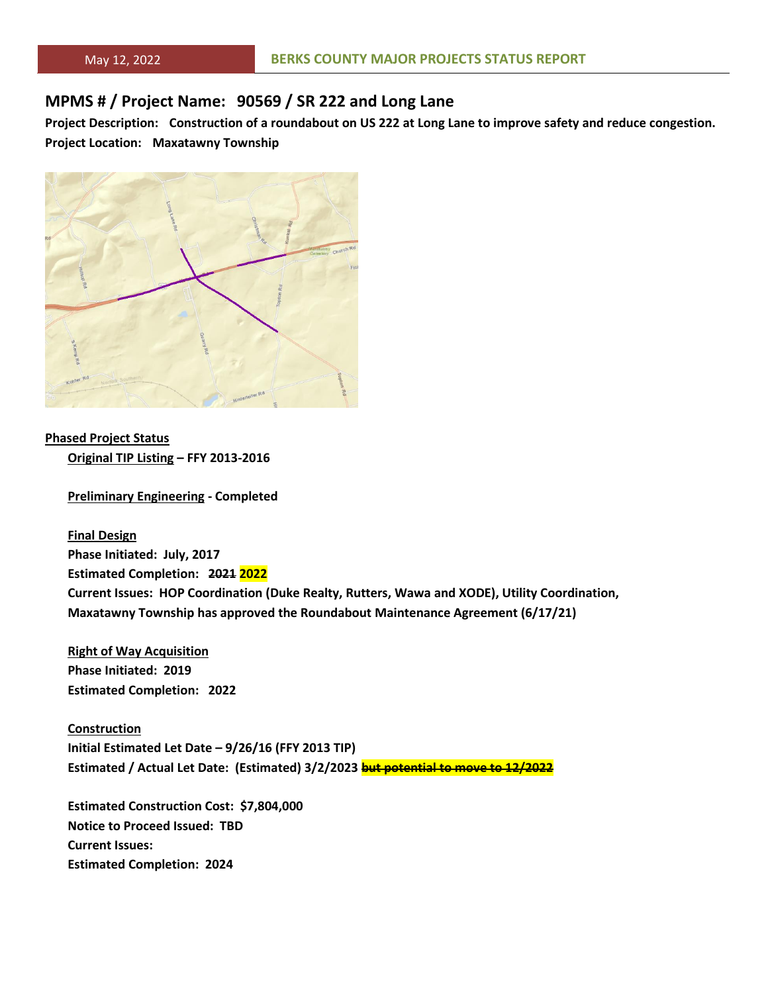# **MPMS # / Project Name: 90569 / SR 222 and Long Lane**

**Project Description: Construction of a roundabout on US 222 at Long Lane to improve safety and reduce congestion. Project Location: Maxatawny Township**



**Phased Project Status Original TIP Listing – FFY 2013-2016**

**Preliminary Engineering - Completed**

**Final Design Phase Initiated: July, 2017 Estimated Completion: 2021 2022 Current Issues: HOP Coordination (Duke Realty, Rutters, Wawa and XODE), Utility Coordination, Maxatawny Township has approved the Roundabout Maintenance Agreement (6/17/21)**

**Right of Way Acquisition Phase Initiated: 2019 Estimated Completion: 2022**

**Construction Initial Estimated Let Date – 9/26/16 (FFY 2013 TIP) Estimated / Actual Let Date: (Estimated) 3/2/2023 but potential to move to 12/2022**

**Estimated Construction Cost: \$7,804,000 Notice to Proceed Issued: TBD Current Issues: Estimated Completion: 2024**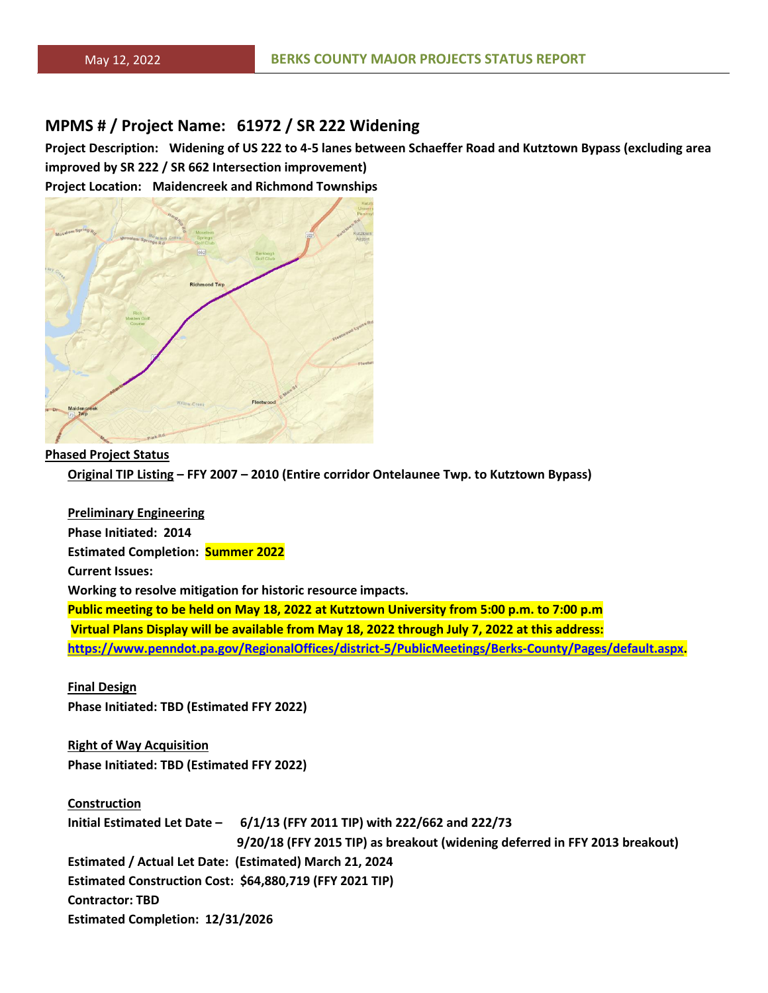## **MPMS # / Project Name: 61972 / SR 222 Widening**

**Project Description: Widening of US 222 to 4-5 lanes between Schaeffer Road and Kutztown Bypass (excluding area improved by SR 222 / SR 662 Intersection improvement)**

**Project Location: Maidencreek and Richmond Townships**



**Phased Project Status Original TIP Listing – FFY 2007 – 2010 (Entire corridor Ontelaunee Twp. to Kutztown Bypass)**

**Preliminary Engineering Phase Initiated: 2014 Estimated Completion: Summer 2022 Current Issues: Working to resolve mitigation for historic resource impacts. Public meeting to be held on May 18, 2022 at Kutztown University from 5:00 p.m. to 7:00 p.m Virtual Plans Display will be available from May 18, 2022 through July 7, 2022 at this address: [https://www.penndot.pa.gov/RegionalOffices/district-5/PublicMeetings/Berks-County/Pages/default.aspx.](https://www.penndot.pa.gov/RegionalOffices/district-5/PublicMeetings/Berks-County/Pages/default.aspx)**

**Final Design Phase Initiated: TBD (Estimated FFY 2022)**

**Right of Way Acquisition Phase Initiated: TBD (Estimated FFY 2022)**

**Construction Initial Estimated Let Date – 6/1/13 (FFY 2011 TIP) with 222/662 and 222/73 9/20/18 (FFY 2015 TIP) as breakout (widening deferred in FFY 2013 breakout) Estimated / Actual Let Date: (Estimated) March 21, 2024 Estimated Construction Cost: \$64,880,719 (FFY 2021 TIP) Contractor: TBD Estimated Completion: 12/31/2026**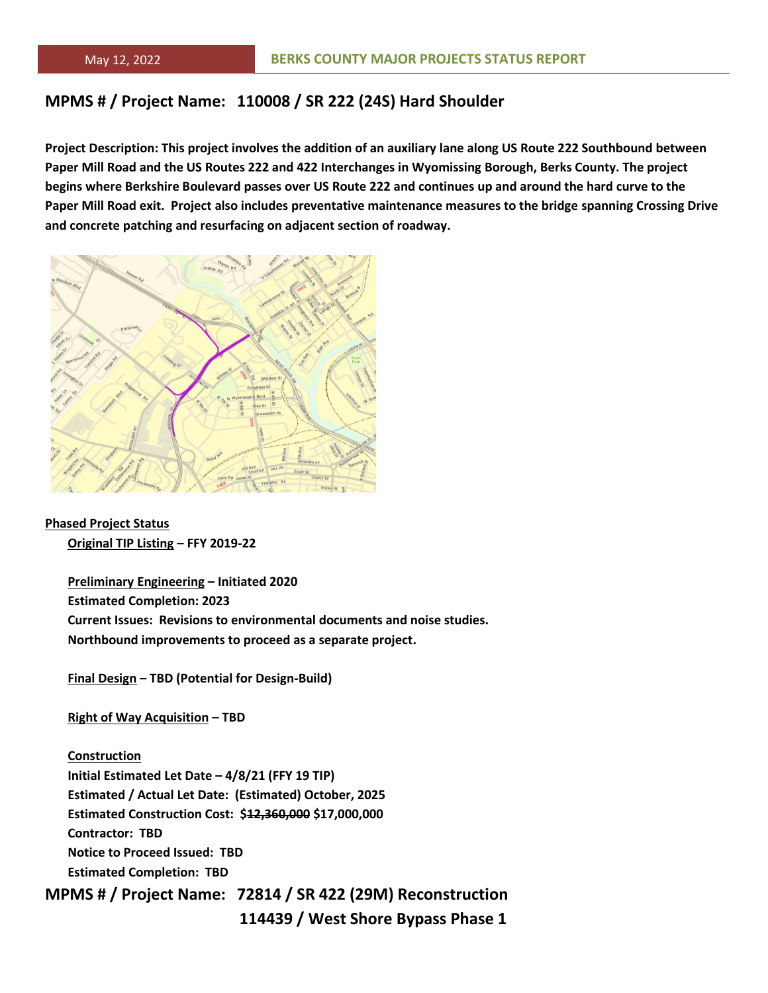# **MPMS # / Project Name: 110008 / SR 222 (24S) Hard Shoulder**

**Project Description: This project involves the addition of an auxiliary lane along US Route 222 Southbound between Paper Mill Road and the US Routes 222 and 422 Interchanges in Wyomissing Borough, Berks County. The project begins where Berkshire Boulevard passes over US Route 222 and continues up and around the hard curve to the Paper Mill Road exit. Project also includes preventative maintenance measures to the bridge spanning Crossing Drive and concrete patching and resurfacing on adjacent section of roadway.**



**Phased Project Status Original TIP Listing – FFY 2019-22**

> **Preliminary Engineering – Initiated 2020 Estimated Completion: 2023 Current Issues: Revisions to environmental documents and noise studies. Northbound improvements to proceed as a separate project.**

**Final Design – TBD (Potential for Design-Build)**

**Right of Way Acquisition – TBD**

#### **Construction**

**Initial Estimated Let Date – 4/8/21 (FFY 19 TIP) Estimated / Actual Let Date: (Estimated) October, 2025 Estimated Construction Cost: \$12,360,000 \$17,000,000 Contractor: TBD Notice to Proceed Issued: TBD Estimated Completion: TBD**

**MPMS # / Project Name: 72814 / SR 422 (29M) Reconstruction**

 **114439 / West Shore Bypass Phase 1**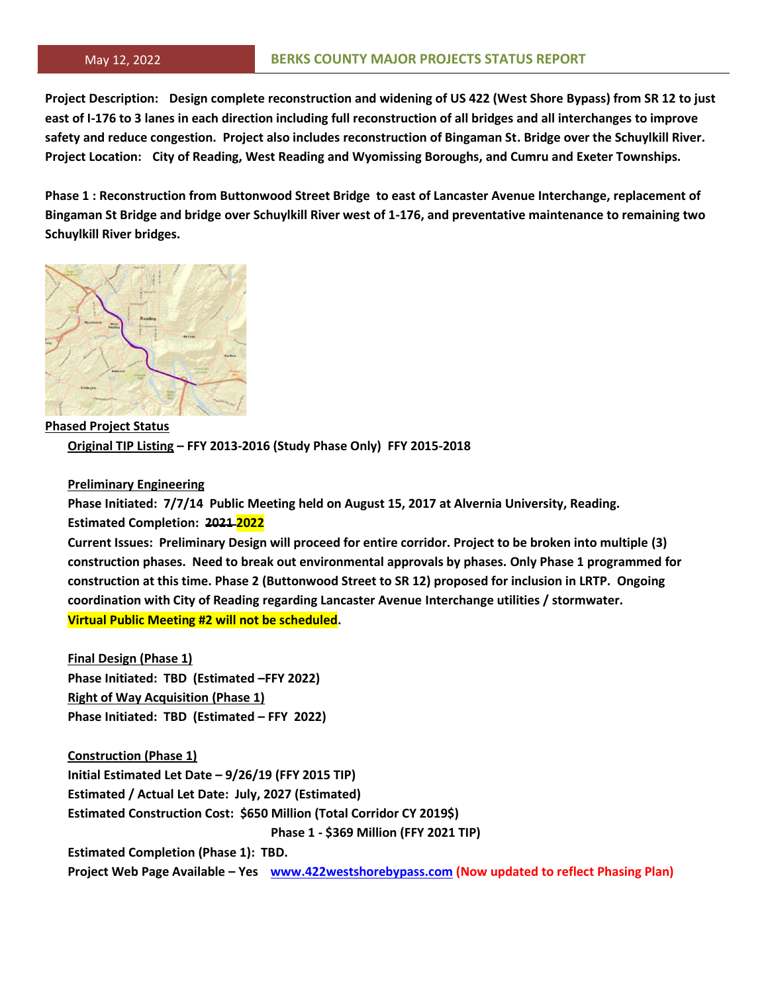**Project Description: Design complete reconstruction and widening of US 422 (West Shore Bypass) from SR 12 to just east of I-176 to 3 lanes in each direction including full reconstruction of all bridges and all interchanges to improve safety and reduce congestion. Project also includes reconstruction of Bingaman St. Bridge over the Schuylkill River. Project Location: City of Reading, West Reading and Wyomissing Boroughs, and Cumru and Exeter Townships.**

**Phase 1 : Reconstruction from Buttonwood Street Bridge to east of Lancaster Avenue Interchange, replacement of Bingaman St Bridge and bridge over Schuylkill River west of 1-176, and preventative maintenance to remaining two Schuylkill River bridges.**



**Phased Project Status Original TIP Listing – FFY 2013-2016 (Study Phase Only) FFY 2015-2018**

### **Preliminary Engineering**

**Phase Initiated: 7/7/14 Public Meeting held on August 15, 2017 at Alvernia University, Reading. Estimated Completion: 2021 2022**

**Current Issues: Preliminary Design will proceed for entire corridor. Project to be broken into multiple (3) construction phases. Need to break out environmental approvals by phases. Only Phase 1 programmed for construction at this time. Phase 2 (Buttonwood Street to SR 12) proposed for inclusion in LRTP. Ongoing coordination with City of Reading regarding Lancaster Avenue Interchange utilities / stormwater. Virtual Public Meeting #2 will not be scheduled.**

**Final Design (Phase 1) Phase Initiated: TBD (Estimated –FFY 2022) Right of Way Acquisition (Phase 1) Phase Initiated: TBD (Estimated – FFY 2022)**

**Construction (Phase 1) Initial Estimated Let Date – 9/26/19 (FFY 2015 TIP) Estimated / Actual Let Date: July, 2027 (Estimated) Estimated Construction Cost: \$650 Million (Total Corridor CY 2019\$) Phase 1 - \$369 Million (FFY 2021 TIP) Estimated Completion (Phase 1): TBD. Project Web Page Available – Yes [www.422westshorebypass.com](http://www.422westshorebypass.com/) (Now updated to reflect Phasing Plan)**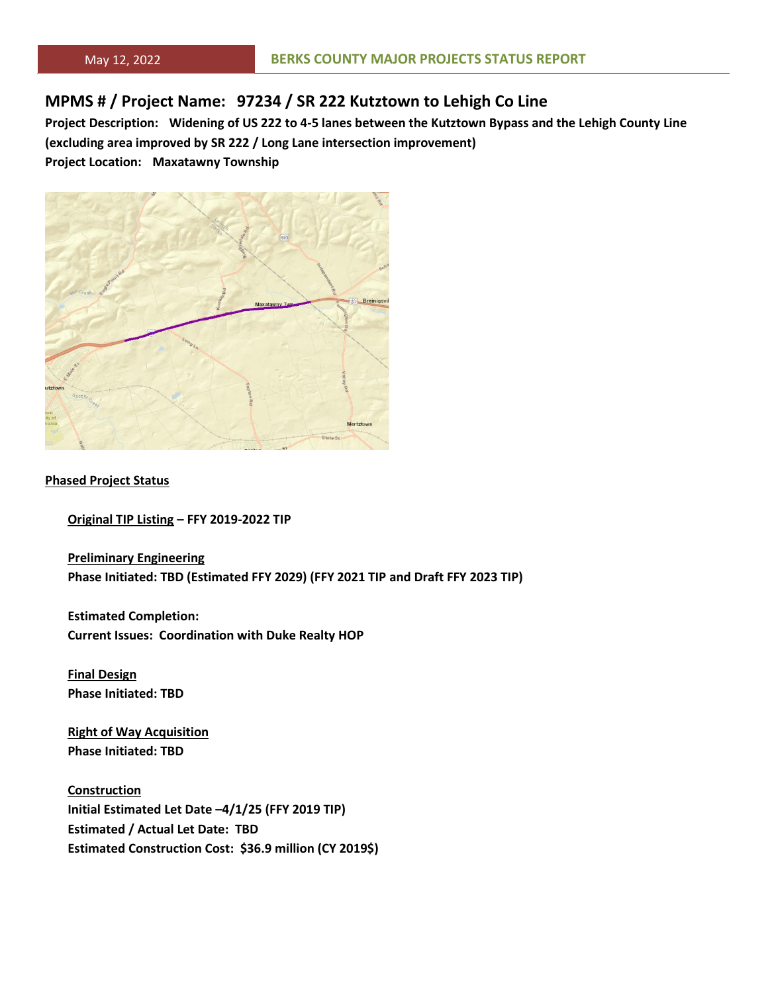# **MPMS # / Project Name: 97234 / SR 222 Kutztown to Lehigh Co Line**

**Project Description: Widening of US 222 to 4-5 lanes between the Kutztown Bypass and the Lehigh County Line (excluding area improved by SR 222 / Long Lane intersection improvement) Project Location: Maxatawny Township**



#### **Phased Project Status**

**Original TIP Listing – FFY 2019-2022 TIP**

**Preliminary Engineering Phase Initiated: TBD (Estimated FFY 2029) (FFY 2021 TIP and Draft FFY 2023 TIP)**

**Estimated Completion: Current Issues: Coordination with Duke Realty HOP**

**Final Design Phase Initiated: TBD**

**Right of Way Acquisition Phase Initiated: TBD**

**Construction Initial Estimated Let Date –4/1/25 (FFY 2019 TIP) Estimated / Actual Let Date: TBD Estimated Construction Cost: \$36.9 million (CY 2019\$)**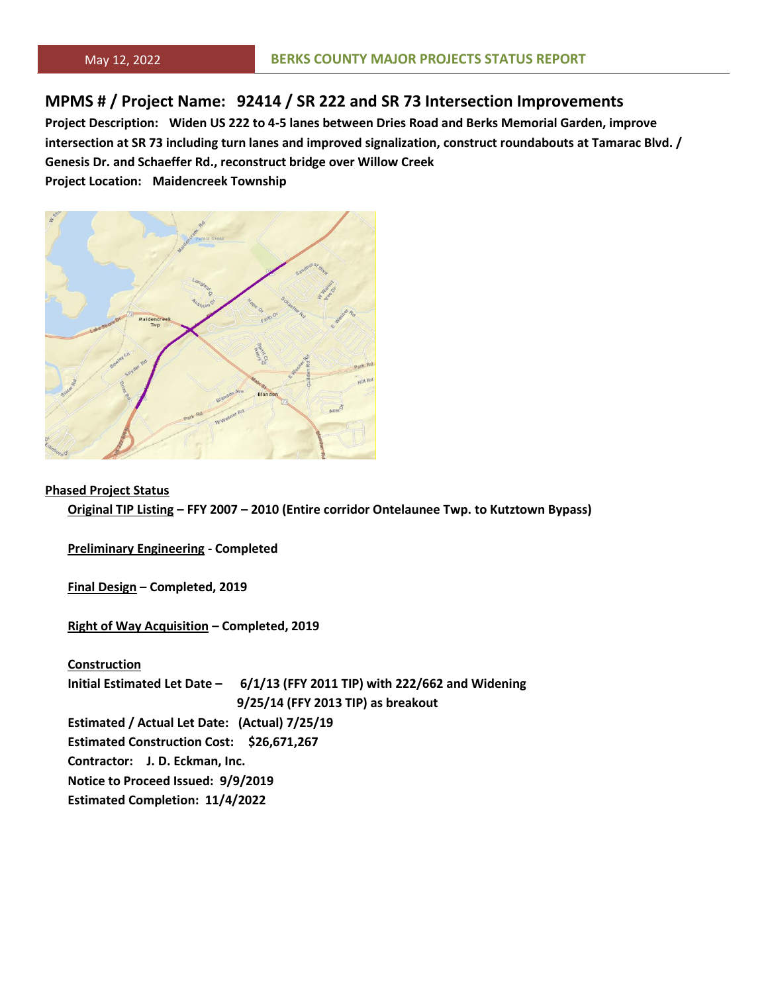# **MPMS # / Project Name: 92414 / SR 222 and SR 73 Intersection Improvements**

**Project Description: Widen US 222 to 4-5 lanes between Dries Road and Berks Memorial Garden, improve intersection at SR 73 including turn lanes and improved signalization, construct roundabouts at Tamarac Blvd. / Genesis Dr. and Schaeffer Rd., reconstruct bridge over Willow Creek**

**Project Location: Maidencreek Township**



#### **Phased Project Status**

**Original TIP Listing – FFY 2007 – 2010 (Entire corridor Ontelaunee Twp. to Kutztown Bypass)**

**Preliminary Engineering - Completed**

**Final Design** – **Completed, 2019**

**Right of Way Acquisition – Completed, 2019**

**Construction Initial Estimated Let Date – 6/1/13 (FFY 2011 TIP) with 222/662 and Widening 9/25/14 (FFY 2013 TIP) as breakout Estimated / Actual Let Date: (Actual) 7/25/19 Estimated Construction Cost: \$26,671,267 Contractor: J. D. Eckman, Inc. Notice to Proceed Issued: 9/9/2019 Estimated Completion: 11/4/2022**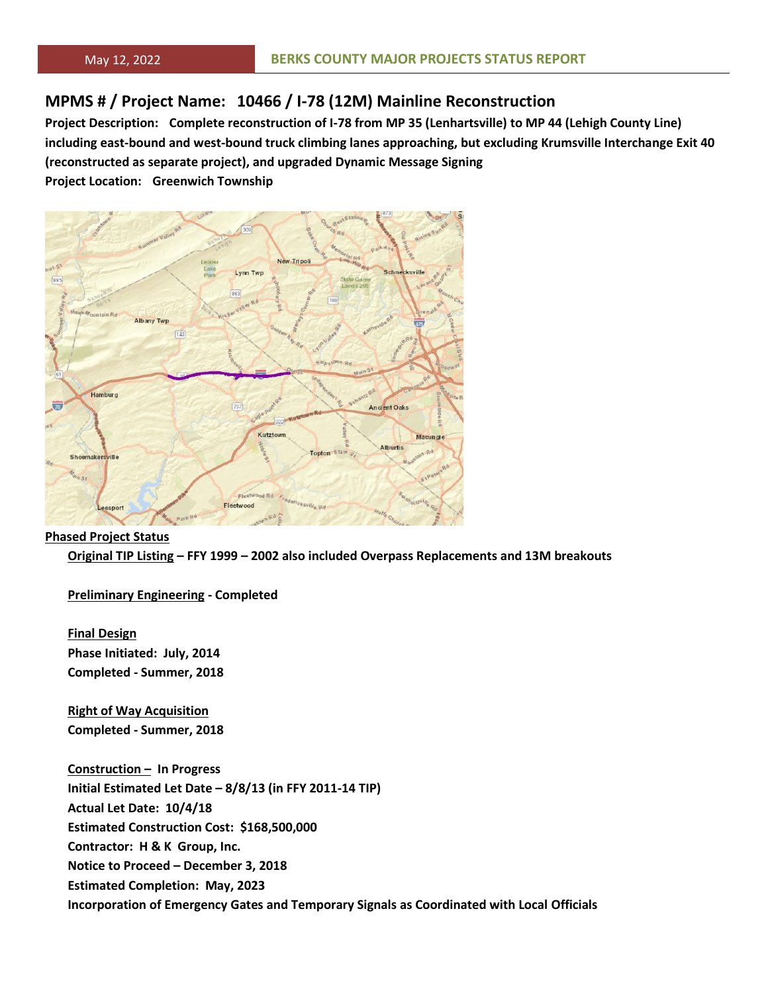# **MPMS # / Project Name: 10466 / I-78 (12M) Mainline Reconstruction**

**Project Description: Complete reconstruction of I-78 from MP 35 (Lenhartsville) to MP 44 (Lehigh County Line) including east-bound and west-bound truck climbing lanes approaching, but excluding Krumsville Interchange Exit 40 (reconstructed as separate project), and upgraded Dynamic Message Signing**

**Project Location: Greenwich Township**



#### **Phased Project Status**

**Original TIP Listing – FFY 1999 – 2002 also included Overpass Replacements and 13M breakouts**

**Preliminary Engineering - Completed**

**Final Design Phase Initiated: July, 2014 Completed - Summer, 2018**

**Right of Way Acquisition Completed - Summer, 2018**

**Construction – In Progress Initial Estimated Let Date – 8/8/13 (in FFY 2011-14 TIP) Actual Let Date: 10/4/18 Estimated Construction Cost: \$168,500,000 Contractor: H & K Group, Inc. Notice to Proceed – December 3, 2018 Estimated Completion: May, 2023 Incorporation of Emergency Gates and Temporary Signals as Coordinated with Local Officials**